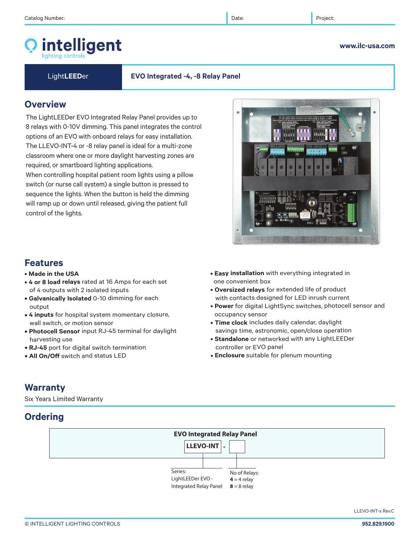# intelligent

Light**LEED**er **EVO Integrated -4, -8 Relay Panel**

 $\bullet$ 

## **Overview**

The LightLEEDer EVO Integrated Relay Panel provides up to 8 relays with 0-10V dimming. This panel integrates the control options of an EVO with onboard relays for easy installation. The LLEVO-INT-4 or -8 relay panel is ideal for a multi-zone classroom where one or more daylight harvesting zones are required, or smartboard lighting applications.

When controlling hospital patient room lights using a pillow switch (or nurse call system) a single button is pressed to sequence the lights. When the button is held the dimming will ramp up or down until released, giving the patient full control of the lights.

## **Features**

- **Made in the USA**
- **4 or 8 load relays** rated at 16 Amps for each set of 4 outputs with 2 isolated inputs
- **Galvanically Isolated** 0-10 dimming for each output
- **4 inputs** for hospital system momentary closure, wall switch, or motion sensor
- **Photocell Sensor** input RJ-45 terminal for daylight harvesting use
- **RJ-45** port for digital switch termination
- **All On/Off** switch and status LED
- **Easy installation** with everything integrated in one convenient box
- **Oversized relays** for extended life of product with contacts designed for LED inrush current
- **Power** for digital LightSync switches, photocell sensor and occupancy sensor
- **Time clock** includes daily calendar, daylight savings time, astronomic, open/close operation
- **Standalone** or networked with any LightLEEDer controller or EVO panel
- **Enclosure** suitable for plenum mounting

## **Warranty**

Six Years Limited Warranty

## **Ordering**





LLEVO-INT-x Rev.C